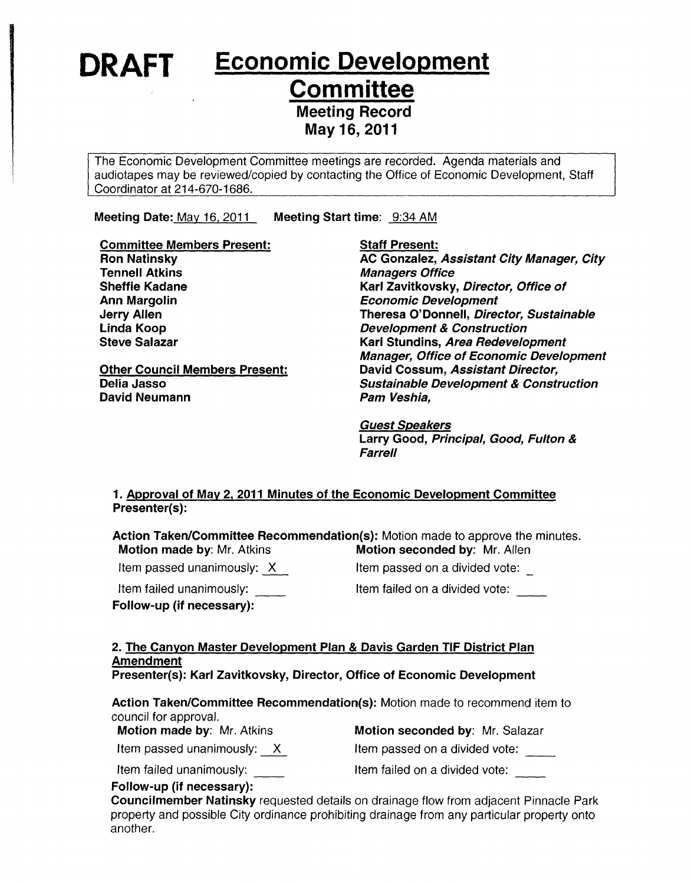**DRAFT** Economic Development

**Committee** 

Meeting Record

May 16,2011

The Economic Development Committee meetings are recorded. Agenda materials and audiotapes may be reviewed/copied by contacting the Office of Economic Development, Staff Coordinator at 214-670-1686.

Meeting Date: May 16, 2011 Meeting Start time: 9:34 AM

Committee Members Present: Ron Natinsky Tennell Atkins Sheffie Kadane Ann Margolin Jerry Allen Linda Koop Steve Salazar Other Council Members Present: Delia Jasso David Neumann Staff Present: AC Gonzalez, Assistant City Manager, City Managers Office Karl Zavitkovsky, Director, Office of Economic Development Theresa O'Donnell, Director, Sustainable Development & Construction Karl Stundins, Area Redevelopment Manager, Office of Economic Development David Cossum, Assistant Director, Sustainable Development & Construction Pam Veshia,

> Guest Speakers Larry Good, Principal, Good, Fulton & **Farrell**

### 1. Approval of May 2. 2011 Minutes of the Economic Development Committee Presenter(s):

Action Taken/Committee Recommendation(s): Motion made to approve the minutes.

Motion made by: Mr. Atkins **Motion seconded by: Mr. Allen** Item passed unanimously:  $X$ 

Item passed on a divided vote:

Item failed unanimously: \_\_\_\_\_

Follow-up (if necessary):

Item failed on a divided vote:

#### 2. The Canyon Master Development Plan & Davis Garden TIF District Plan Amendment Presenter(s): Karl Zavitkovsky, Director, Office of Economic Development

Action Taken/Committee Recommendation(s): Motion made to recommend item to council for approval.

Motion made by: Mr. Atkins **Motion seconded by: Mr. Salazar** 

Item passed unanimously:  $\overline{X}$  Item passed on a divided vote:

Item failed unanimously: Item failed on a divided vote:

Follow-up (if necessary):

Councilmember Natinsky requested details on drainage flow from adjacent Pinnacle Park property and possible City ordinance prohibiting drainage from any particular property onto another.